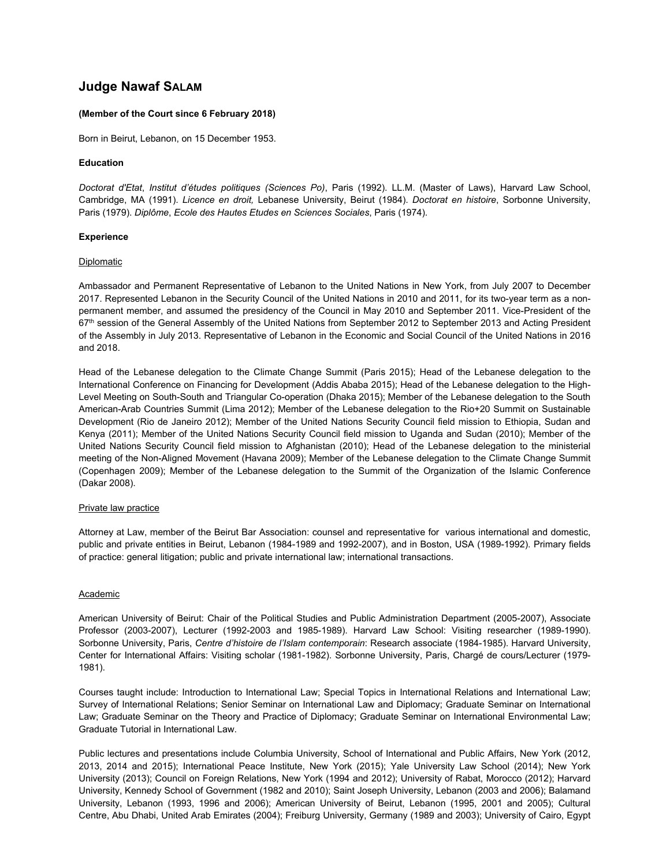# **Judge Nawaf SALAM**

## **(Member of the Court since 6 February 2018)**

Born in Beirut, Lebanon, on 15 December 1953.

## **Education**

*Doctorat d'Etat*, *Institut d'études politiques (Sciences Po)*, Paris (1992). LL.M. (Master of Laws), Harvard Law School, Cambridge, MA (1991). *Licence en droit,* Lebanese University, Beirut (1984). *Doctorat en histoire*, Sorbonne University, Paris (1979). *Diplôme*, *Ecole des Hautes Etudes en Sciences Sociales*, Paris (1974).

## **Experience**

#### **Diplomatic**

Ambassador and Permanent Representative of Lebanon to the United Nations in New York, from July 2007 to December 2017. Represented Lebanon in the Security Council of the United Nations in 2010 and 2011, for its two-year term as a nonpermanent member, and assumed the presidency of the Council in May 2010 and September 2011. Vice-President of the 67<sup>th</sup> session of the General Assembly of the United Nations from September 2012 to September 2013 and Acting President of the Assembly in July 2013. Representative of Lebanon in the Economic and Social Council of the United Nations in 2016 and 2018.

Head of the Lebanese delegation to the Climate Change Summit (Paris 2015); Head of the Lebanese delegation to the International Conference on Financing for Development (Addis Ababa 2015); Head of the Lebanese delegation to the High-Level Meeting on South-South and Triangular Co-operation (Dhaka 2015); Member of the Lebanese delegation to the South American-Arab Countries Summit (Lima 2012); Member of the Lebanese delegation to the Rio+20 Summit on Sustainable Development (Rio de Janeiro 2012); Member of the United Nations Security Council field mission to Ethiopia, Sudan and Kenya (2011); Member of the United Nations Security Council field mission to Uganda and Sudan (2010); Member of the United Nations Security Council field mission to Afghanistan (2010); Head of the Lebanese delegation to the ministerial meeting of the Non-Aligned Movement (Havana 2009); Member of the Lebanese delegation to the Climate Change Summit (Copenhagen 2009); Member of the Lebanese delegation to the Summit of the Organization of the Islamic Conference (Dakar 2008).

# Private law practice

Attorney at Law, member of the Beirut Bar Association: counsel and representative for various international and domestic, public and private entities in Beirut, Lebanon (1984-1989 and 1992-2007), and in Boston, USA (1989-1992). Primary fields of practice: general litigation; public and private international law; international transactions.

# **Academic**

American University of Beirut: Chair of the Political Studies and Public Administration Department (2005-2007), Associate Professor (2003-2007), Lecturer (1992-2003 and 1985-1989). Harvard Law School: Visiting researcher (1989-1990). Sorbonne University, Paris, *Centre d'histoire de l'Islam contemporain*: Research associate (1984-1985). Harvard University, Center for International Affairs: Visiting scholar (1981-1982). Sorbonne University, Paris, Chargé de cours/Lecturer (1979- 1981).

Courses taught include: Introduction to International Law; Special Topics in International Relations and International Law; Survey of International Relations; Senior Seminar on International Law and Diplomacy; Graduate Seminar on International Law; Graduate Seminar on the Theory and Practice of Diplomacy; Graduate Seminar on International Environmental Law; Graduate Tutorial in International Law.

Public lectures and presentations include Columbia University, School of International and Public Affairs, New York (2012, 2013, 2014 and 2015); International Peace Institute, New York (2015); Yale University Law School (2014); New York University (2013); Council on Foreign Relations, New York (1994 and 2012); University of Rabat, Morocco (2012); Harvard University, Kennedy School of Government (1982 and 2010); Saint Joseph University, Lebanon (2003 and 2006); Balamand University, Lebanon (1993, 1996 and 2006); American University of Beirut, Lebanon (1995, 2001 and 2005); Cultural Centre, Abu Dhabi, United Arab Emirates (2004); Freiburg University, Germany (1989 and 2003); University of Cairo, Egypt